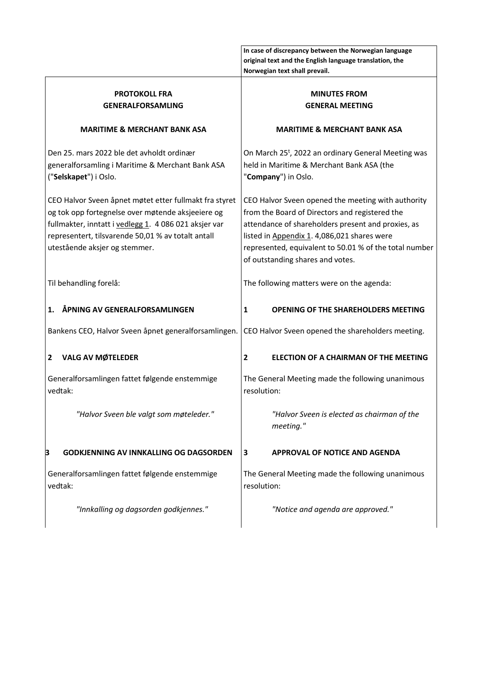|                                                                                                                                                                                                                                                             | In case of discrepancy between the Norwegian language<br>original text and the English language translation, the<br>Norwegian text shall prevail.                                                                                                                                                       |
|-------------------------------------------------------------------------------------------------------------------------------------------------------------------------------------------------------------------------------------------------------------|---------------------------------------------------------------------------------------------------------------------------------------------------------------------------------------------------------------------------------------------------------------------------------------------------------|
| <b>PROTOKOLL FRA</b>                                                                                                                                                                                                                                        | <b>MINUTES FROM</b>                                                                                                                                                                                                                                                                                     |
| <b>GENERALFORSAMLING</b>                                                                                                                                                                                                                                    | <b>GENERAL MEETING</b>                                                                                                                                                                                                                                                                                  |
| <b>MARITIME &amp; MERCHANT BANK ASA</b>                                                                                                                                                                                                                     | <b>MARITIME &amp; MERCHANT BANK ASA</b>                                                                                                                                                                                                                                                                 |
| Den 25. mars 2022 ble det avholdt ordinær                                                                                                                                                                                                                   | On March 25 <sup>t</sup> , 2022 an ordinary General Meeting was                                                                                                                                                                                                                                         |
| generalforsamling i Maritime & Merchant Bank ASA                                                                                                                                                                                                            | held in Maritime & Merchant Bank ASA (the                                                                                                                                                                                                                                                               |
| ("Selskapet") i Oslo.                                                                                                                                                                                                                                       | "Company") in Oslo.                                                                                                                                                                                                                                                                                     |
| CEO Halvor Sveen åpnet møtet etter fullmakt fra styret<br>og tok opp fortegnelse over møtende aksjeeiere og<br>fullmakter, inntatt i vedlegg 1. 4 086 021 aksjer var<br>representert, tilsvarende 50,01 % av totalt antall<br>utestående aksjer og stemmer. | CEO Halvor Sveen opened the meeting with authority<br>from the Board of Directors and registered the<br>attendance of shareholders present and proxies, as<br>listed in Appendix 1. 4,086,021 shares were<br>represented, equivalent to 50.01 % of the total number<br>of outstanding shares and votes. |
| Til behandling forelå:                                                                                                                                                                                                                                      | The following matters were on the agenda:                                                                                                                                                                                                                                                               |
| ÅPNING AV GENERALFORSAMLINGEN                                                                                                                                                                                                                               | 1                                                                                                                                                                                                                                                                                                       |
| 1.                                                                                                                                                                                                                                                          | <b>OPENING OF THE SHAREHOLDERS MEETING</b>                                                                                                                                                                                                                                                              |
| Bankens CEO, Halvor Sveen åpnet generalforsamlingen.                                                                                                                                                                                                        | CEO Halvor Sveen opened the shareholders meeting.                                                                                                                                                                                                                                                       |
| <b>VALG AV MØTELEDER</b>                                                                                                                                                                                                                                    | ELECTION OF A CHAIRMAN OF THE MEETING                                                                                                                                                                                                                                                                   |
| 2                                                                                                                                                                                                                                                           | 2                                                                                                                                                                                                                                                                                                       |
| Generalforsamlingen fattet følgende enstemmige                                                                                                                                                                                                              | The General Meeting made the following unanimous                                                                                                                                                                                                                                                        |
| vedtak:                                                                                                                                                                                                                                                     | resolution:                                                                                                                                                                                                                                                                                             |
| "Halvor Sveen ble valgt som møteleder."                                                                                                                                                                                                                     | "Halvor Sveen is elected as chairman of the<br>meeting."                                                                                                                                                                                                                                                |
| <b>GODKJENNING AV INNKALLING OG DAGSORDEN</b>                                                                                                                                                                                                               | <b>APPROVAL OF NOTICE AND AGENDA</b>                                                                                                                                                                                                                                                                    |
| B                                                                                                                                                                                                                                                           | 3                                                                                                                                                                                                                                                                                                       |
| Generalforsamlingen fattet følgende enstemmige                                                                                                                                                                                                              | The General Meeting made the following unanimous                                                                                                                                                                                                                                                        |
| vedtak:                                                                                                                                                                                                                                                     | resolution:                                                                                                                                                                                                                                                                                             |
| "Innkalling og dagsorden godkjennes."                                                                                                                                                                                                                       | "Notice and agenda are approved."                                                                                                                                                                                                                                                                       |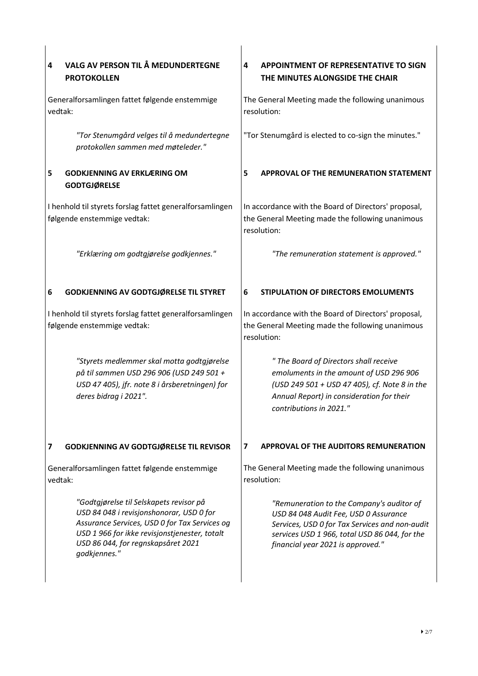| VALG AV PERSON TIL Å MEDUNDERTEGNE<br>4<br><b>PROTOKOLLEN</b>                                                                                                                                                                               | 4<br><b>APPOINTMENT OF REPRESENTATIVE TO SIGN</b><br>THE MINUTES ALONGSIDE THE CHAIR                                                                                                                                       |
|---------------------------------------------------------------------------------------------------------------------------------------------------------------------------------------------------------------------------------------------|----------------------------------------------------------------------------------------------------------------------------------------------------------------------------------------------------------------------------|
| Generalforsamlingen fattet følgende enstemmige<br>vedtak:                                                                                                                                                                                   | The General Meeting made the following unanimous<br>resolution:                                                                                                                                                            |
| "Tor Stenumgård velges til å medundertegne<br>protokollen sammen med møteleder."                                                                                                                                                            | "Tor Stenumgård is elected to co-sign the minutes."                                                                                                                                                                        |
| 5<br><b>GODKJENNING AV ERKLÆRING OM</b><br><b>GODTGJØRELSE</b>                                                                                                                                                                              | APPROVAL OF THE REMUNERATION STATEMENT<br>5                                                                                                                                                                                |
| I henhold til styrets forslag fattet generalforsamlingen<br>følgende enstemmige vedtak:                                                                                                                                                     | In accordance with the Board of Directors' proposal,<br>the General Meeting made the following unanimous<br>resolution:                                                                                                    |
| "Erklæring om godtgjørelse godkjennes."                                                                                                                                                                                                     | "The remuneration statement is approved."                                                                                                                                                                                  |
| <b>GODKJENNING AV GODTGJØRELSE TIL STYRET</b><br>6                                                                                                                                                                                          | 6<br>STIPULATION OF DIRECTORS EMOLUMENTS                                                                                                                                                                                   |
| I henhold til styrets forslag fattet generalforsamlingen<br>følgende enstemmige vedtak:                                                                                                                                                     | In accordance with the Board of Directors' proposal,<br>the General Meeting made the following unanimous<br>resolution:                                                                                                    |
| "Styrets medlemmer skal motta godtgjørelse<br>på til sammen USD 296 906 (USD 249 501 +<br>USD 47 405), jfr. note 8 i årsberetningen) for<br>deres bidrag i 2021".                                                                           | " The Board of Directors shall receive<br>emoluments in the amount of USD 296 906<br>(USD 249 501 + USD 47 405), cf. Note 8 in the<br>Annual Report) in consideration for their<br>contributions in 2021."                 |
| 7<br><b>GODKJENNING AV GODTGJØRELSE TIL REVISOR</b>                                                                                                                                                                                         | <b>APPROVAL OF THE AUDITORS REMUNERATION</b><br>7                                                                                                                                                                          |
| Generalforsamlingen fattet følgende enstemmige<br>vedtak:                                                                                                                                                                                   | The General Meeting made the following unanimous<br>resolution:                                                                                                                                                            |
| "Godtgjørelse til Selskapets revisor på<br>USD 84 048 i revisjonshonorar, USD 0 for<br>Assurance Services, USD 0 for Tax Services og<br>USD 1 966 for ikke revisjonstjenester, totalt<br>USD 86 044, for regnskapsåret 2021<br>godkjennes." | "Remuneration to the Company's auditor of<br>USD 84 048 Audit Fee, USD 0 Assurance<br>Services, USD 0 for Tax Services and non-audit<br>services USD 1 966, total USD 86 044, for the<br>financial year 2021 is approved." |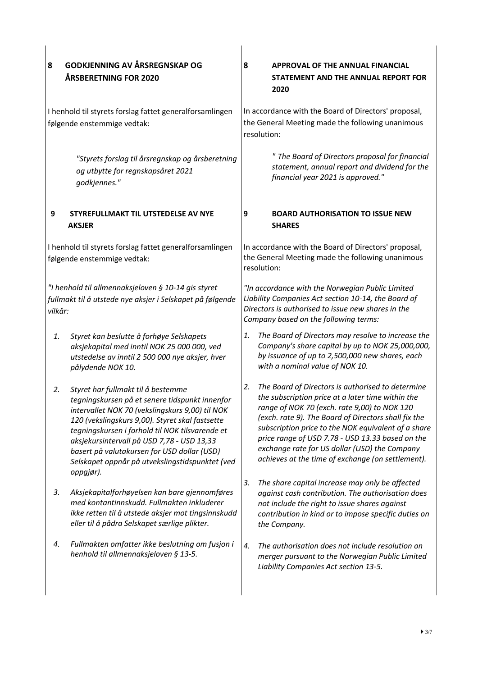| 8                                                                                       | <b>GODKJENNING AV ÅRSREGNSKAP OG</b><br>ÅRSBERETNING FOR 2020                                                                                                                                                                                                                                                                                                                                              | 8  | <b>APPROVAL OF THE ANNUAL FINANCIAL</b><br>STATEMENT AND THE ANNUAL REPORT FOR<br>2020                                                                                                                                                                                                                                                                                                                                          |
|-----------------------------------------------------------------------------------------|------------------------------------------------------------------------------------------------------------------------------------------------------------------------------------------------------------------------------------------------------------------------------------------------------------------------------------------------------------------------------------------------------------|----|---------------------------------------------------------------------------------------------------------------------------------------------------------------------------------------------------------------------------------------------------------------------------------------------------------------------------------------------------------------------------------------------------------------------------------|
| I henhold til styrets forslag fattet generalforsamlingen<br>følgende enstemmige vedtak: |                                                                                                                                                                                                                                                                                                                                                                                                            |    | In accordance with the Board of Directors' proposal,<br>the General Meeting made the following unanimous<br>resolution:                                                                                                                                                                                                                                                                                                         |
|                                                                                         | "Styrets forslag til årsregnskap og årsberetning<br>og utbytte for regnskapsåret 2021<br>godkjennes."                                                                                                                                                                                                                                                                                                      |    | " The Board of Directors proposal for financial<br>statement, annual report and dividend for the<br>financial year 2021 is approved."                                                                                                                                                                                                                                                                                           |
| 9                                                                                       | STYREFULLMAKT TIL UTSTEDELSE AV NYE<br><b>AKSJER</b>                                                                                                                                                                                                                                                                                                                                                       | 9  | <b>BOARD AUTHORISATION TO ISSUE NEW</b><br><b>SHARES</b>                                                                                                                                                                                                                                                                                                                                                                        |
|                                                                                         | I henhold til styrets forslag fattet generalforsamlingen<br>følgende enstemmige vedtak:                                                                                                                                                                                                                                                                                                                    |    | In accordance with the Board of Directors' proposal,<br>the General Meeting made the following unanimous<br>resolution:                                                                                                                                                                                                                                                                                                         |
| vilkår:                                                                                 | "I henhold til allmennaksjeloven § 10-14 gis styret<br>fullmakt til å utstede nye aksjer i Selskapet på følgende                                                                                                                                                                                                                                                                                           |    | "In accordance with the Norwegian Public Limited<br>Liability Companies Act section 10-14, the Board of<br>Directors is authorised to issue new shares in the<br>Company based on the following terms:                                                                                                                                                                                                                          |
| 1.                                                                                      | Styret kan beslutte å forhøye Selskapets<br>aksjekapital med inntil NOK 25 000 000, ved<br>utstedelse av inntil 2 500 000 nye aksjer, hver<br>pålydende NOK 10.                                                                                                                                                                                                                                            | 1. | The Board of Directors may resolve to increase the<br>Company's share capital by up to NOK 25,000,000,<br>by issuance of up to 2,500,000 new shares, each<br>with a nominal value of NOK 10.                                                                                                                                                                                                                                    |
| 2.                                                                                      | Styret har fullmakt til å bestemme<br>tegningskursen på et senere tidspunkt innenfor<br>intervallet NOK 70 (vekslingskurs 9,00) til NOK<br>120 (vekslingskurs 9,00). Styret skal fastsette<br>tegningskursen i forhold til NOK tilsvarende et<br>aksjekursintervall på USD 7,78 - USD 13,33<br>basert på valutakursen for USD dollar (USD)<br>Selskapet oppnår på utvekslingstidspunktet (ved<br>oppgjør). | 2. | The Board of Directors is authorised to determine<br>the subscription price at a later time within the<br>range of NOK 70 (exch. rate 9,00) to NOK 120<br>(exch. rate 9). The Board of Directors shall fix the<br>subscription price to the NOK equivalent of a share<br>price range of USD 7.78 - USD 13.33 based on the<br>exchange rate for US dollar (USD) the Company<br>achieves at the time of exchange (on settlement). |
| 3.                                                                                      | Aksjekapitalforhøyelsen kan bare gjennomføres<br>med kontantinnskudd. Fullmakten inkluderer<br>ikke retten til å utstede aksjer mot tingsinnskudd<br>eller til å pådra Selskapet særlige plikter.                                                                                                                                                                                                          | 3. | The share capital increase may only be affected<br>against cash contribution. The authorisation does<br>not include the right to issue shares against<br>contribution in kind or to impose specific duties on<br>the Company.                                                                                                                                                                                                   |
| 4.                                                                                      | Fullmakten omfatter ikke beslutning om fusjon i<br>henhold til allmennaksjeloven § 13-5.                                                                                                                                                                                                                                                                                                                   | 4. | The authorisation does not include resolution on<br>merger pursuant to the Norwegian Public Limited<br>Liability Companies Act section 13-5.                                                                                                                                                                                                                                                                                    |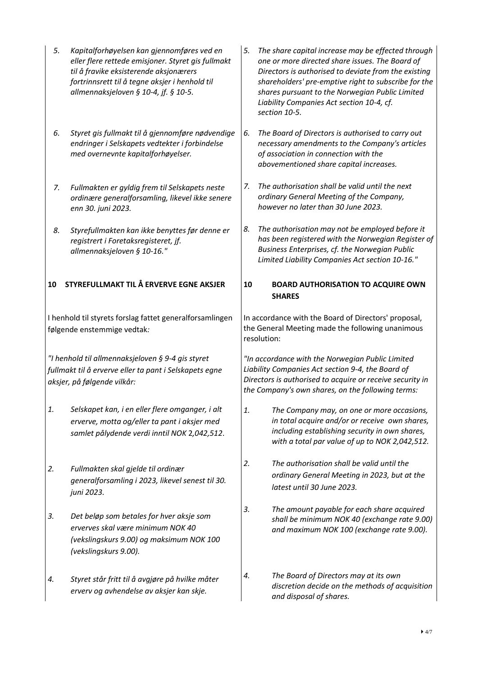| 5. | Kapitalforhøyelsen kan gjennomføres ved en<br>eller flere rettede emisjoner. Styret gis fullmakt<br>til å fravike eksisterende aksjonærers<br>fortrinnsrett til å tegne aksjer i henhold til<br>allmennaksjeloven § 10-4, jf. § 10-5. | 5. | The share capital increase may be effected through<br>one or more directed share issues. The Board of<br>Directors is authorised to deviate from the existing<br>shareholders' pre-emptive right to subscribe for the<br>shares pursuant to the Norwegian Public Limited<br>Liability Companies Act section 10-4, cf.<br>section 10-5. |  |  |
|----|---------------------------------------------------------------------------------------------------------------------------------------------------------------------------------------------------------------------------------------|----|----------------------------------------------------------------------------------------------------------------------------------------------------------------------------------------------------------------------------------------------------------------------------------------------------------------------------------------|--|--|
| 6. | Styret gis fullmakt til å gjennomføre nødvendige<br>endringer i Selskapets vedtekter i forbindelse<br>med overnevnte kapitalforhøyelser.                                                                                              | 6. | The Board of Directors is authorised to carry out<br>necessary amendments to the Company's articles<br>of association in connection with the<br>abovementioned share capital increases.                                                                                                                                                |  |  |
| 7. | Fullmakten er gyldig frem til Selskapets neste<br>ordinære generalforsamling, likevel ikke senere<br>enn 30. juni 2023.                                                                                                               | 7. | The authorisation shall be valid until the next<br>ordinary General Meeting of the Company,<br>however no later than 30 June 2023.                                                                                                                                                                                                     |  |  |
| 8. | Styrefullmakten kan ikke benyttes før denne er<br>registrert i Foretaksregisteret, jf.<br>allmennaksjeloven § 10-16."                                                                                                                 | 8. | The authorisation may not be employed before it<br>has been registered with the Norwegian Register of<br>Business Enterprises, cf. the Norwegian Public<br>Limited Liability Companies Act section 10-16."                                                                                                                             |  |  |
| 10 | STYREFULLMAKT TIL Å ERVERVE EGNE AKSJER                                                                                                                                                                                               | 10 | <b>BOARD AUTHORISATION TO ACQUIRE OWN</b><br><b>SHARES</b>                                                                                                                                                                                                                                                                             |  |  |
|    | I henhold til styrets forslag fattet generalforsamlingen<br>følgende enstemmige vedtak:                                                                                                                                               |    | In accordance with the Board of Directors' proposal,<br>the General Meeting made the following unanimous<br>resolution:                                                                                                                                                                                                                |  |  |
|    | "I henhold til allmennaksjeloven § 9-4 gis styret<br>fullmakt til å erverve eller ta pant i Selskapets egne<br>aksjer, på følgende vilkår:                                                                                            |    | "In accordance with the Norwegian Public Limited<br>Liability Companies Act section 9-4, the Board of<br>Directors is authorised to acquire or receive security in<br>the Company's own shares, on the following terms:                                                                                                                |  |  |
| 1. | Selskapet kan, i en eller flere omganger, i alt<br>erverve, motta og/eller ta pant i aksjer med<br>samlet pålydende verdi inntil NOK 2,042,512.                                                                                       | 1. | The Company may, on one or more occasions,<br>in total acquire and/or or receive own shares,<br>including establishing security in own shares,<br>with a total par value of up to NOK 2,042,512.                                                                                                                                       |  |  |
| 2. | Fullmakten skal gjelde til ordinær<br>generalforsamling i 2023, likevel senest til 30.<br>juni 2023.                                                                                                                                  | 2. | The authorisation shall be valid until the<br>ordinary General Meeting in 2023, but at the<br>latest until 30 June 2023.                                                                                                                                                                                                               |  |  |
| 3. | Det beløp som betales for hver aksje som<br>erverves skal være minimum NOK 40<br>(vekslingskurs 9.00) og maksimum NOK 100<br>(vekslingskurs 9.00).                                                                                    | 3. | The amount payable for each share acquired<br>shall be minimum NOK 40 (exchange rate 9.00)<br>and maximum NOK 100 (exchange rate 9.00).                                                                                                                                                                                                |  |  |
| 4. | Styret står fritt til å avgjøre på hvilke måter<br>erverv og avhendelse av aksjer kan skje.                                                                                                                                           | 4. | The Board of Directors may at its own<br>discretion decide on the methods of acquisition<br>and disposal of shares.                                                                                                                                                                                                                    |  |  |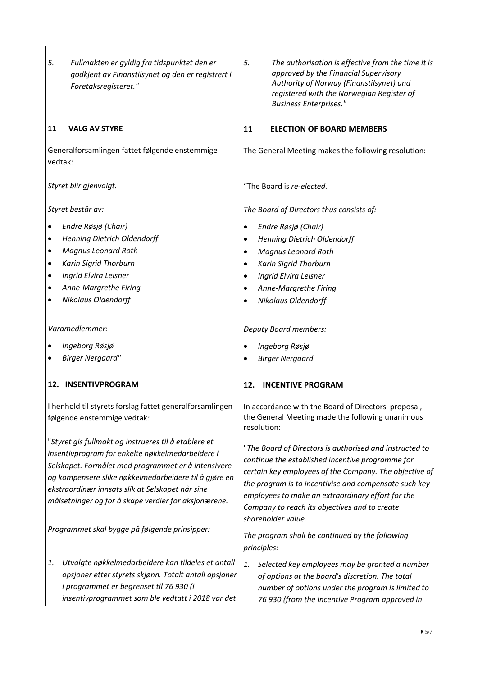| 5.<br>Fullmakten er gyldig fra tidspunktet den er<br>godkjent av Finanstilsynet og den er registrert i<br>Foretaksregisteret."                                                                                                                                                                                                       | 5.<br>The authorisation is effective from the time it is<br>approved by the Financial Supervisory<br>Authority of Norway (Finanstilsynet) and<br>registered with the Norwegian Register of<br><b>Business Enterprises."</b>                                                                                                                                |
|--------------------------------------------------------------------------------------------------------------------------------------------------------------------------------------------------------------------------------------------------------------------------------------------------------------------------------------|------------------------------------------------------------------------------------------------------------------------------------------------------------------------------------------------------------------------------------------------------------------------------------------------------------------------------------------------------------|
| 11<br><b>VALG AV STYRE</b>                                                                                                                                                                                                                                                                                                           | 11<br><b>ELECTION OF BOARD MEMBERS</b>                                                                                                                                                                                                                                                                                                                     |
| Generalforsamlingen fattet følgende enstemmige<br>vedtak:                                                                                                                                                                                                                                                                            | The General Meeting makes the following resolution:                                                                                                                                                                                                                                                                                                        |
| Styret blir gjenvalgt.                                                                                                                                                                                                                                                                                                               | "The Board is re-elected.                                                                                                                                                                                                                                                                                                                                  |
| Styret består av:                                                                                                                                                                                                                                                                                                                    | The Board of Directors thus consists of:                                                                                                                                                                                                                                                                                                                   |
| Endre Røsjø (Chair)<br>٠                                                                                                                                                                                                                                                                                                             | Endre Røsjø (Chair)<br>$\bullet$                                                                                                                                                                                                                                                                                                                           |
| <b>Henning Dietrich Oldendorff</b><br>٠                                                                                                                                                                                                                                                                                              | <b>Henning Dietrich Oldendorff</b>                                                                                                                                                                                                                                                                                                                         |
| <b>Magnus Leonard Roth</b><br>٠                                                                                                                                                                                                                                                                                                      | Magnus Leonard Roth<br>$\bullet$                                                                                                                                                                                                                                                                                                                           |
| Karin Sigrid Thorburn<br>٠                                                                                                                                                                                                                                                                                                           | Karin Sigrid Thorburn<br>$\bullet$                                                                                                                                                                                                                                                                                                                         |
| Ingrid Elvira Leisner<br>٠                                                                                                                                                                                                                                                                                                           | Ingrid Elvira Leisner<br>$\bullet$                                                                                                                                                                                                                                                                                                                         |
| Anne-Margrethe Firing                                                                                                                                                                                                                                                                                                                | Anne-Margrethe Firing<br>$\bullet$                                                                                                                                                                                                                                                                                                                         |
| <b>Nikolaus Oldendorff</b><br>٠                                                                                                                                                                                                                                                                                                      | <b>Nikolaus Oldendorff</b>                                                                                                                                                                                                                                                                                                                                 |
| Varamedlemmer:                                                                                                                                                                                                                                                                                                                       | <b>Deputy Board members:</b>                                                                                                                                                                                                                                                                                                                               |
| Ingeborg Røsjø                                                                                                                                                                                                                                                                                                                       | Ingeborg Røsjø<br>$\bullet$                                                                                                                                                                                                                                                                                                                                |
| <b>Birger Nergaard"</b>                                                                                                                                                                                                                                                                                                              | <b>Birger Nergaard</b>                                                                                                                                                                                                                                                                                                                                     |
| 12. INSENTIVPROGRAM                                                                                                                                                                                                                                                                                                                  | <b>INCENTIVE PROGRAM</b><br>12.                                                                                                                                                                                                                                                                                                                            |
| I henhold til styrets forslag fattet generalforsamlingen<br>følgende enstemmige vedtak:                                                                                                                                                                                                                                              | In accordance with the Board of Directors' proposal,<br>the General Meeting made the following unanimous<br>resolution:                                                                                                                                                                                                                                    |
| "Styret gis fullmakt og instrueres til å etablere et<br>insentivprogram for enkelte nøkkelmedarbeidere i<br>Selskapet. Formålet med programmet er å intensivere<br>og kompensere slike nøkkelmedarbeidere til å gjøre en<br>ekstraordinær innsats slik at Selskapet når sine<br>målsetninger og for å skape verdier for aksjonærene. | "The Board of Directors is authorised and instructed to<br>continue the established incentive programme for<br>certain key employees of the Company. The objective of<br>the program is to incentivise and compensate such key<br>employees to make an extraordinary effort for the<br>Company to reach its objectives and to create<br>shareholder value. |
| Programmet skal bygge på følgende prinsipper:                                                                                                                                                                                                                                                                                        | The program shall be continued by the following<br>principles:                                                                                                                                                                                                                                                                                             |
| Utvalgte nøkkelmedarbeidere kan tildeles et antall<br>1.<br>opsjoner etter styrets skjønn. Totalt antall opsjoner<br>i programmet er begrenset til 76 930 (i<br>insentivprogrammet som ble vedtatt i 2018 var det                                                                                                                    | Selected key employees may be granted a number<br>1.<br>of options at the board's discretion. The total<br>number of options under the program is limited to<br>76 930 (from the Incentive Program approved in                                                                                                                                             |
|                                                                                                                                                                                                                                                                                                                                      | $\blacktriangleright$ 5/7                                                                                                                                                                                                                                                                                                                                  |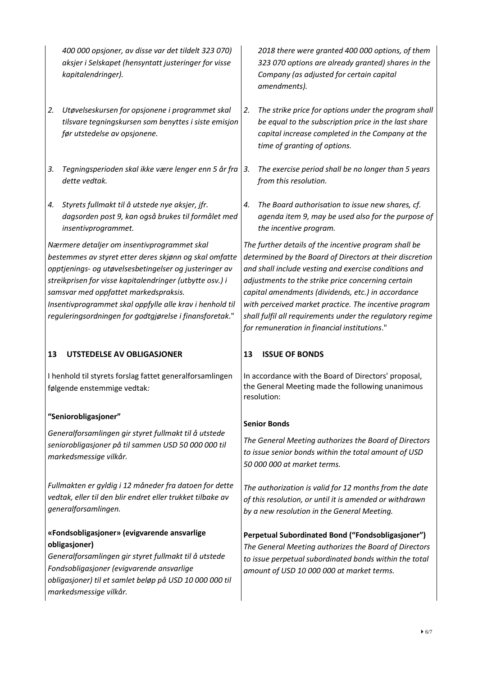*400 000 opsjoner, av disse var det tildelt 323 070) aksjer i Selskapet (hensyntatt justeringer for visse kapitalendringer).*

- *2. Utøvelseskursen for opsjonene i programmet skal tilsvare tegningskursen som benyttes i siste emisjon før utstedelse av opsjonene.*
- *3. Tegningsperioden skal ikke være lenger enn 5 år fra dette vedtak.*
- *4. Styrets fullmakt til å utstede nye aksjer, jfr. dagsorden post 9, kan også brukes til formålet med insentivprogrammet.*

*Nærmere detaljer om insentivprogrammet skal bestemmes av styret etter deres skjønn og skal omfatte opptjenings- og utøvelsesbetingelser og justeringer av streikprisen for visse kapitalendringer (utbytte osv.) i samsvar med oppfattet markedspraksis. Insentivprogrammet skal oppfylle alle krav i henhold til reguleringsordningen for godtgjørelse i finansforetak*."

# **13 UTSTEDELSE AV OBLIGASJONER**

I henhold til styrets forslag fattet generalforsamlingen følgende enstemmige vedtak*:* 

# **"Seniorobligasjoner"**

*Generalforsamlingen gir styret fullmakt til å utstede seniorobligasjoner på til sammen USD 50 000 000 til markedsmessige vilkår.*

*Fullmakten er gyldig i 12 måneder fra datoen for dette vedtak, eller til den blir endret eller trukket tilbake av generalforsamlingen.*

### **«Fondsobligasjoner» (evigvarende ansvarlige obligasjoner)**

*Generalforsamlingen gir styret fullmakt til å utstede Fondsobligasjoner (evigvarende ansvarlige obligasjoner) til et samlet beløp på USD 10 000 000 til markedsmessige vilkår.*

*2018 there were granted 400 000 options, of them 323 070 options are already granted) shares in the Company (as adjusted for certain capital amendments).*

- *2. The strike price for options under the program shall be equal to the subscription price in the last share capital increase completed in the Company at the time of granting of options.*
- *3. The exercise period shall be no longer than 5 years from this resolution.*
- *4. The Board authorisation to issue new shares, cf. agenda item 9, may be used also for the purpose of the incentive program.*

*The further details of the incentive program shall be determined by the Board of Directors at their discretion and shall include vesting and exercise conditions and adjustments to the strike price concerning certain capital amendments (dividends, etc.) in accordance with perceived market practice. The incentive program shall fulfil all requirements under the regulatory regime for remuneration in financial institutions*."

# **13 ISSUE OF BONDS**

In accordance with the Board of Directors' proposal, the General Meeting made the following unanimous resolution:

# **Senior Bonds**

*The General Meeting authorizes the Board of Directors to issue senior bonds within the total amount of USD 50 000 000 at market terms.*

*The authorization is valid for 12 months from the date of this resolution, or until it is amended or withdrawn by a new resolution in the General Meeting.*

**Perpetual Subordinated Bond ("Fondsobligasjoner")** *The General Meeting authorizes the Board of Directors to issue perpetual subordinated bonds within the total amount of USD 10 000 000 at market terms.*